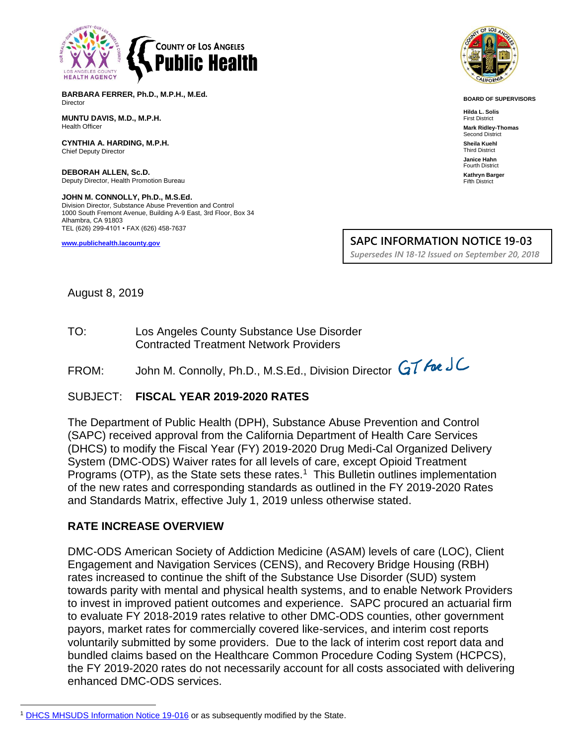

**BARBARA FERRER, Ph.D., M.P.H., M.Ed.** Director

**MUNTU DAVIS, M.D., M.P.H.** Health Officer

**CYNTHIA A. HARDING, M.P.H.** Chief Deputy Director

**DEBORAH ALLEN, Sc.D.** Deputy Director, Health Promotion Bureau

**JOHN M. CONNOLLY, Ph.D., M.S.Ed.** Division Director, Substance Abuse Prevention and Control 1000 South Fremont Avenue, Building A-9 East, 3rd Floor, Box 34 Alhambra, CA 91803 TEL (626) 299-4101 • FAX (626) 458-7637

**[www.publichealth.lacounty.gov](http://www.publichealth.lacounty.gov/)**



**BOARD OF SUPERVISORS**

**Hilda L. Solis** First District **Mark Ridley-Thomas** Second District **Sheila Kuehl** Third District **Janice Hahn** Fourth District **Kathryn Barger** Fifth District

**SAPC INFORMATION NOTICE 19-03**

*Supersedes IN 18-12 Issued on September 20, 2018*

August 8, 2019

TO: Los Angeles County Substance Use Disorder Contracted Treatment Network Providers

FROM: John M. Connolly, Ph.D., M.S.Ed., Division Director GT Foe JC

### SUBJECT: **FISCAL YEAR 2019-2020 RATES**

The Department of Public Health (DPH), Substance Abuse Prevention and Control (SAPC) received approval from the California Department of Health Care Services (DHCS) to modify the Fiscal Year (FY) 2019-2020 Drug Medi-Cal Organized Delivery System (DMC-ODS) Waiver rates for all levels of care, except Opioid Treatment Programs (OTP), as the State sets these rates.<sup>1</sup> This Bulletin outlines implementation of the new rates and corresponding standards as outlined in the FY 2019-2020 Rates and Standards Matrix, effective July 1, 2019 unless otherwise stated.

### **RATE INCREASE OVERVIEW**

DMC-ODS American Society of Addiction Medicine (ASAM) levels of care (LOC), Client Engagement and Navigation Services (CENS), and Recovery Bridge Housing (RBH) rates increased to continue the shift of the Substance Use Disorder (SUD) system towards parity with mental and physical health systems, and to enable Network Providers to invest in improved patient outcomes and experience. SAPC procured an actuarial firm to evaluate FY 2018-2019 rates relative to other DMC-ODS counties, other government payors, market rates for commercially covered like-services, and interim cost reports voluntarily submitted by some providers. Due to the lack of interim cost report data and bundled claims based on the Healthcare Common Procedure Coding System (HCPCS), the FY 2019-2020 rates do not necessarily account for all costs associated with delivering enhanced DMC-ODS services.

[DHCS MHSUDS Information Notice 19-016](https://www.dhcs.ca.gov/formsandpubs/Documents/MHSUDS%20Information%20Notices/MHSUDS_Information_Notices_2019/MHSUDS_IN_19-016_Revisions_County_Specific_Interim_Rates_DMC-ODS.pdf) or as subsequently modified by the State.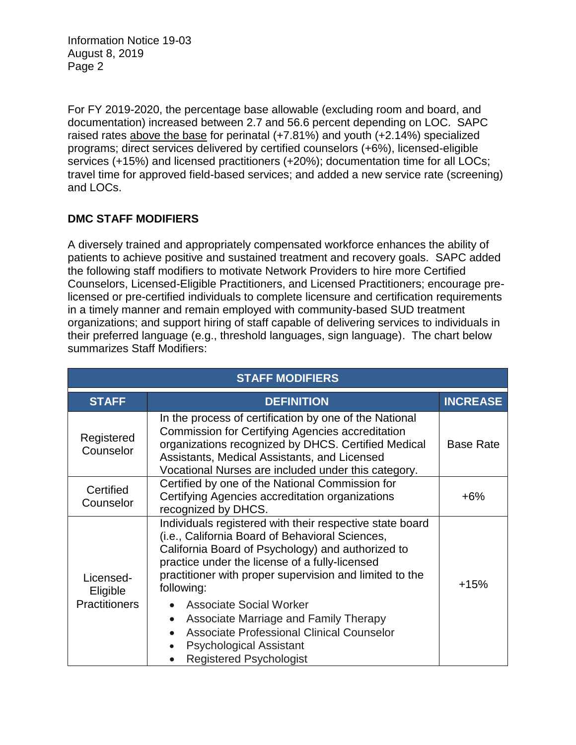For FY 2019-2020, the percentage base allowable (excluding room and board, and documentation) increased between 2.7 and 56.6 percent depending on LOC. SAPC raised rates above the base for perinatal (+7.81%) and youth (+2.14%) specialized programs; direct services delivered by certified counselors (+6%), licensed-eligible services (+15%) and licensed practitioners (+20%); documentation time for all LOCs; travel time for approved field-based services; and added a new service rate (screening) and LOCs.

# **DMC STAFF MODIFIERS**

A diversely trained and appropriately compensated workforce enhances the ability of patients to achieve positive and sustained treatment and recovery goals. SAPC added the following staff modifiers to motivate Network Providers to hire more Certified Counselors, Licensed-Eligible Practitioners, and Licensed Practitioners; encourage prelicensed or pre-certified individuals to complete licensure and certification requirements in a timely manner and remain employed with community-based SUD treatment organizations; and support hiring of staff capable of delivering services to individuals in their preferred language (e.g., threshold languages, sign language). The chart below summarizes Staff Modifiers:

| <b>STAFF MODIFIERS</b>                        |                                                                                                                                                                                                                                                                                                                                                                                                                                                                                                             |                  |  |  |  |
|-----------------------------------------------|-------------------------------------------------------------------------------------------------------------------------------------------------------------------------------------------------------------------------------------------------------------------------------------------------------------------------------------------------------------------------------------------------------------------------------------------------------------------------------------------------------------|------------------|--|--|--|
| <b>STAFF</b>                                  | <b>DEFINITION</b>                                                                                                                                                                                                                                                                                                                                                                                                                                                                                           | <b>INCREASE</b>  |  |  |  |
| Registered<br>Counselor                       | In the process of certification by one of the National<br>Commission for Certifying Agencies accreditation<br>organizations recognized by DHCS. Certified Medical<br>Assistants, Medical Assistants, and Licensed<br>Vocational Nurses are included under this category.                                                                                                                                                                                                                                    | <b>Base Rate</b> |  |  |  |
| Certified<br>Counselor                        | Certified by one of the National Commission for<br>Certifying Agencies accreditation organizations<br>recognized by DHCS.                                                                                                                                                                                                                                                                                                                                                                                   | $+6\%$           |  |  |  |
| Licensed-<br>Eligible<br><b>Practitioners</b> | Individuals registered with their respective state board<br>(i.e., California Board of Behavioral Sciences,<br>California Board of Psychology) and authorized to<br>practice under the license of a fully-licensed<br>practitioner with proper supervision and limited to the<br>following:<br><b>Associate Social Worker</b><br>Associate Marriage and Family Therapy<br>$\bullet$<br><b>Associate Professional Clinical Counselor</b><br><b>Psychological Assistant</b><br><b>Registered Psychologist</b> | $+15%$           |  |  |  |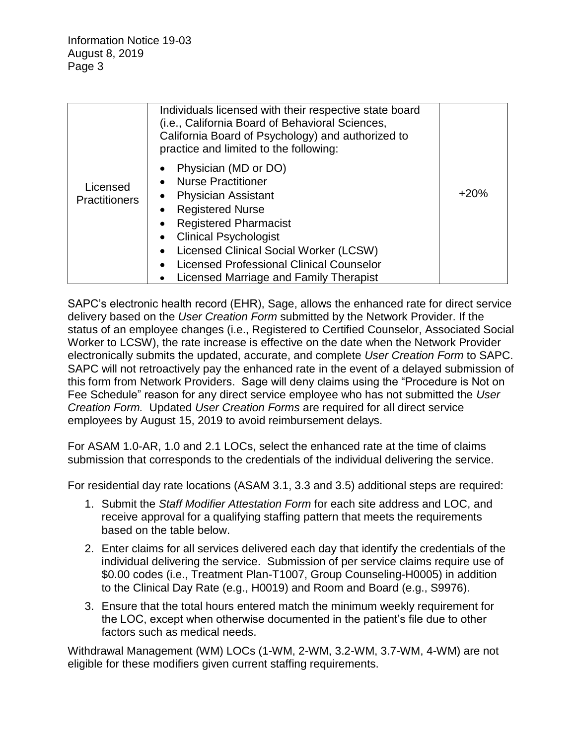|                                  | Individuals licensed with their respective state board<br>(i.e., California Board of Behavioral Sciences,<br>California Board of Psychology) and authorized to<br>practice and limited to the following:                                                                                                                       |        |
|----------------------------------|--------------------------------------------------------------------------------------------------------------------------------------------------------------------------------------------------------------------------------------------------------------------------------------------------------------------------------|--------|
| Licensed<br><b>Practitioners</b> | Physician (MD or DO)<br><b>Nurse Practitioner</b><br><b>Physician Assistant</b><br><b>Registered Nurse</b><br>$\bullet$<br><b>Registered Pharmacist</b><br><b>Clinical Psychologist</b><br>Licensed Clinical Social Worker (LCSW)<br><b>Licensed Professional Clinical Counselor</b><br>Licensed Marriage and Family Therapist | $+20%$ |

SAPC's electronic health record (EHR), Sage, allows the enhanced rate for direct service delivery based on the *User Creation Form* submitted by the Network Provider. If the status of an employee changes (i.e., Registered to Certified Counselor, Associated Social Worker to LCSW), the rate increase is effective on the date when the Network Provider electronically submits the updated, accurate, and complete *User Creation Form* to SAPC. SAPC will not retroactively pay the enhanced rate in the event of a delayed submission of this form from Network Providers. Sage will deny claims using the "Procedure is Not on Fee Schedule" reason for any direct service employee who has not submitted the *User Creation Form.* Updated *User Creation Forms* are required for all direct service employees by August 15, 2019 to avoid reimbursement delays.

For ASAM 1.0-AR, 1.0 and 2.1 LOCs, select the enhanced rate at the time of claims submission that corresponds to the credentials of the individual delivering the service.

For residential day rate locations (ASAM 3.1, 3.3 and 3.5) additional steps are required:

- 1. Submit the *Staff Modifier Attestation Form* for each site address and LOC, and receive approval for a qualifying staffing pattern that meets the requirements based on the table below.
- 2. Enter claims for all services delivered each day that identify the credentials of the individual delivering the service. Submission of per service claims require use of \$0.00 codes (i.e., Treatment Plan-T1007, Group Counseling-H0005) in addition to the Clinical Day Rate (e.g., H0019) and Room and Board (e.g., S9976).
- 3. Ensure that the total hours entered match the minimum weekly requirement for the LOC, except when otherwise documented in the patient's file due to other factors such as medical needs.

Withdrawal Management (WM) LOCs (1-WM, 2-WM, 3.2-WM, 3.7-WM, 4-WM) are not eligible for these modifiers given current staffing requirements.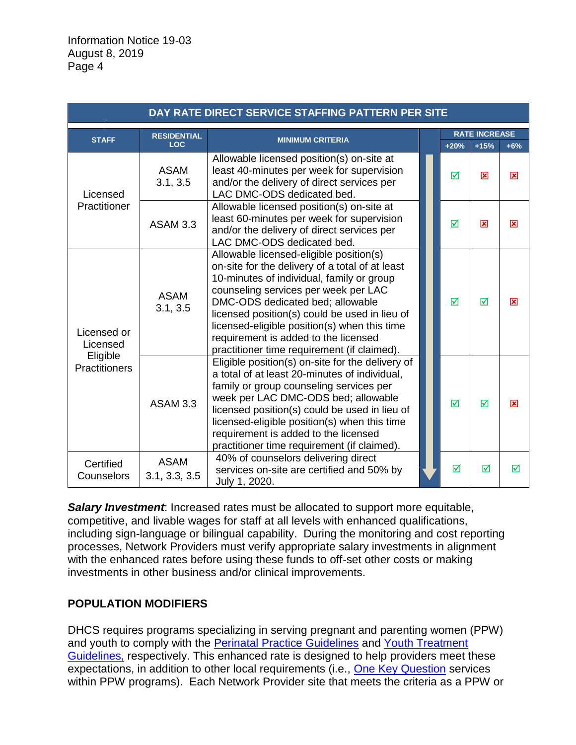| DAY RATE DIRECT SERVICE STAFFING PATTERN PER SITE           |                              |                                                                                                                                                                                                                                                                                                                                                                                                             |  |                      |        |       |  |  |
|-------------------------------------------------------------|------------------------------|-------------------------------------------------------------------------------------------------------------------------------------------------------------------------------------------------------------------------------------------------------------------------------------------------------------------------------------------------------------------------------------------------------------|--|----------------------|--------|-------|--|--|
|                                                             | <b>RESIDENTIAL</b>           |                                                                                                                                                                                                                                                                                                                                                                                                             |  | <b>RATE INCREASE</b> |        |       |  |  |
| <b>STAFF</b>                                                | <b>LOC</b>                   | <b>MINIMUM CRITERIA</b>                                                                                                                                                                                                                                                                                                                                                                                     |  | $+20%$               | $+15%$ | $+6%$ |  |  |
| Licensed<br>Practitioner                                    | <b>ASAM</b><br>3.1, 3.5      | Allowable licensed position(s) on-site at<br>least 40-minutes per week for supervision<br>and/or the delivery of direct services per<br>LAC DMC-ODS dedicated bed.                                                                                                                                                                                                                                          |  | ☑                    | 図      | 図     |  |  |
|                                                             | <b>ASAM 3.3</b>              | Allowable licensed position(s) on-site at<br>least 60-minutes per week for supervision<br>and/or the delivery of direct services per<br>LAC DMC-ODS dedicated bed.                                                                                                                                                                                                                                          |  | ⊠                    | 図      | 図     |  |  |
| Licensed or<br>Licensed<br>Eligible<br><b>Practitioners</b> | <b>ASAM</b><br>3.1, 3.5      | Allowable licensed-eligible position(s)<br>on-site for the delivery of a total of at least<br>10-minutes of individual, family or group<br>counseling services per week per LAC<br>DMC-ODS dedicated bed; allowable<br>licensed position(s) could be used in lieu of<br>licensed-eligible position(s) when this time<br>requirement is added to the licensed<br>practitioner time requirement (if claimed). |  | ☑                    | ⊠      | 冈     |  |  |
|                                                             | <b>ASAM 3.3</b>              | Eligible position(s) on-site for the delivery of<br>a total of at least 20-minutes of individual,<br>family or group counseling services per<br>week per LAC DMC-ODS bed; allowable<br>licensed position(s) could be used in lieu of<br>licensed-eligible position(s) when this time<br>requirement is added to the licensed<br>practitioner time requirement (if claimed).                                 |  | ⊠                    | ☑      | 区     |  |  |
| Certified<br>Counselors                                     | <b>ASAM</b><br>3.1, 3.3, 3.5 | 40% of counselors delivering direct<br>services on-site are certified and 50% by<br>July 1, 2020.                                                                                                                                                                                                                                                                                                           |  | ⊠                    | ☑      | ⊠     |  |  |

*Salary Investment*: Increased rates must be allocated to support more equitable, competitive, and livable wages for staff at all levels with enhanced qualifications, including sign-language or bilingual capability. During the monitoring and cost reporting processes, Network Providers must verify appropriate salary investments in alignment with the enhanced rates before using these funds to off-set other costs or making investments in other business and/or clinical improvements.

## **POPULATION MODIFIERS**

DHCS requires programs specializing in serving pregnant and parenting women (PPW) and youth to comply with the [Perinatal Practice Guidelines](https://www.dhcs.ca.gov/individuals/Documents/Perinatal_Practice_Guidelines_FY1819.pdf) and [Youth Treatment](https://www.dhcs.ca.gov/individuals/Documents/Youth_Treatment_Guidelines.pdf)  [Guidelines,](https://www.dhcs.ca.gov/individuals/Documents/Youth_Treatment_Guidelines.pdf) respectively. This enhanced rate is designed to help providers meet these expectations, in addition to other local requirements (i.e., [One Key Question](https://powertodecide.org/one-key-question) services within PPW programs). Each Network Provider site that meets the criteria as a PPW or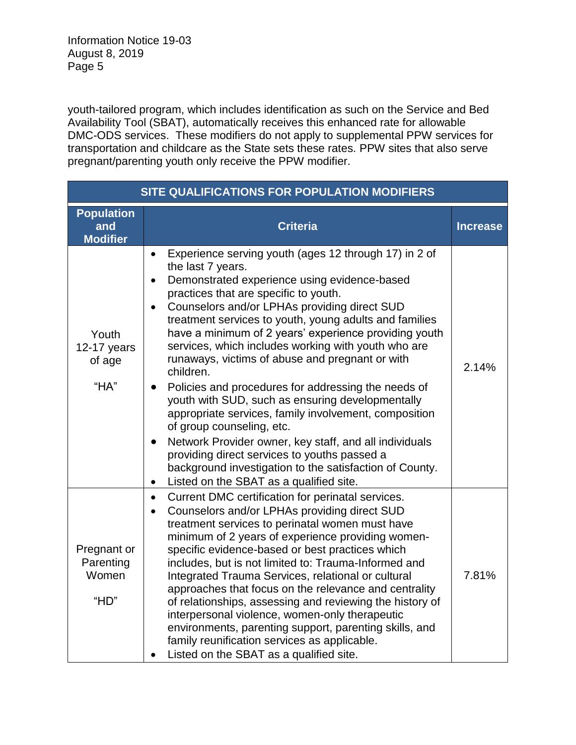youth-tailored program, which includes identification as such on the Service and Bed Availability Tool (SBAT), automatically receives this enhanced rate for allowable DMC-ODS services. These modifiers do not apply to supplemental PPW services for transportation and childcare as the State sets these rates. PPW sites that also serve pregnant/parenting youth only receive the PPW modifier.

| SITE QUALIFICATIONS FOR POPULATION MODIFIERS |                                                                                                                                                                                                                                                                                                                                                                                                                                                                                                                                                                                                                                                                                                                                                                                                                                                                                                                                                              |                 |  |  |  |
|----------------------------------------------|--------------------------------------------------------------------------------------------------------------------------------------------------------------------------------------------------------------------------------------------------------------------------------------------------------------------------------------------------------------------------------------------------------------------------------------------------------------------------------------------------------------------------------------------------------------------------------------------------------------------------------------------------------------------------------------------------------------------------------------------------------------------------------------------------------------------------------------------------------------------------------------------------------------------------------------------------------------|-----------------|--|--|--|
| Population<br>and<br><b>Modifier</b>         | <b>Criteria</b>                                                                                                                                                                                                                                                                                                                                                                                                                                                                                                                                                                                                                                                                                                                                                                                                                                                                                                                                              | <b>Increase</b> |  |  |  |
| Youth<br>12-17 years<br>of age<br>"HA"       | Experience serving youth (ages 12 through 17) in 2 of<br>$\bullet$<br>the last 7 years.<br>Demonstrated experience using evidence-based<br>$\bullet$<br>practices that are specific to youth.<br>Counselors and/or LPHAs providing direct SUD<br>$\bullet$<br>treatment services to youth, young adults and families<br>have a minimum of 2 years' experience providing youth<br>services, which includes working with youth who are<br>runaways, victims of abuse and pregnant or with<br>children.<br>Policies and procedures for addressing the needs of<br>$\bullet$<br>youth with SUD, such as ensuring developmentally<br>appropriate services, family involvement, composition<br>of group counseling, etc.<br>Network Provider owner, key staff, and all individuals<br>$\bullet$<br>providing direct services to youths passed a<br>background investigation to the satisfaction of County.<br>Listed on the SBAT as a qualified site.<br>$\bullet$ | 2.14%           |  |  |  |
| Pregnant or<br>Parenting<br>Women<br>"HD"    | Current DMC certification for perinatal services.<br>$\bullet$<br>Counselors and/or LPHAs providing direct SUD<br>$\bullet$<br>treatment services to perinatal women must have<br>minimum of 2 years of experience providing women-<br>specific evidence-based or best practices which<br>includes, but is not limited to: Trauma-Informed and<br>Integrated Trauma Services, relational or cultural<br>approaches that focus on the relevance and centrality<br>of relationships, assessing and reviewing the history of<br>interpersonal violence, women-only therapeutic<br>environments, parenting support, parenting skills, and<br>family reunification services as applicable.<br>Listed on the SBAT as a qualified site.                                                                                                                                                                                                                             | 7.81%           |  |  |  |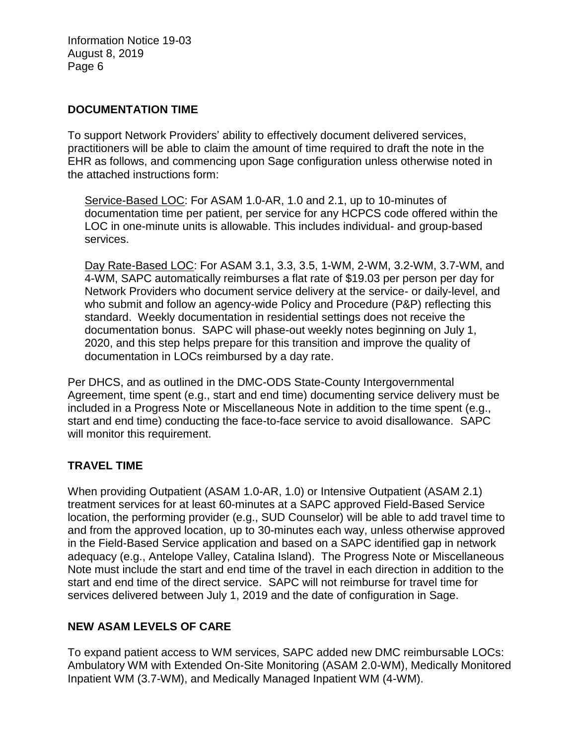#### **DOCUMENTATION TIME**

To support Network Providers' ability to effectively document delivered services, practitioners will be able to claim the amount of time required to draft the note in the EHR as follows, and commencing upon Sage configuration unless otherwise noted in the attached instructions form:

Service-Based LOC: For ASAM 1.0-AR, 1.0 and 2.1, up to 10-minutes of documentation time per patient, per service for any HCPCS code offered within the LOC in one-minute units is allowable. This includes individual- and group-based services.

Day Rate-Based LOC: For ASAM 3.1, 3.3, 3.5, 1-WM, 2-WM, 3.2-WM, 3.7-WM, and 4-WM, SAPC automatically reimburses a flat rate of \$19.03 per person per day for Network Providers who document service delivery at the service- or daily-level, and who submit and follow an agency-wide Policy and Procedure (P&P) reflecting this standard. Weekly documentation in residential settings does not receive the documentation bonus. SAPC will phase-out weekly notes beginning on July 1, 2020, and this step helps prepare for this transition and improve the quality of documentation in LOCs reimbursed by a day rate.

Per DHCS, and as outlined in the DMC-ODS State-County Intergovernmental Agreement, time spent (e.g., start and end time) documenting service delivery must be included in a Progress Note or Miscellaneous Note in addition to the time spent (e.g., start and end time) conducting the face-to-face service to avoid disallowance. SAPC will monitor this requirement.

## **TRAVEL TIME**

When providing Outpatient (ASAM 1.0-AR, 1.0) or Intensive Outpatient (ASAM 2.1) treatment services for at least 60-minutes at a SAPC approved Field-Based Service location, the performing provider (e.g., SUD Counselor) will be able to add travel time to and from the approved location, up to 30-minutes each way, unless otherwise approved in the Field-Based Service application and based on a SAPC identified gap in network adequacy (e.g., Antelope Valley, Catalina Island). The Progress Note or Miscellaneous Note must include the start and end time of the travel in each direction in addition to the start and end time of the direct service. SAPC will not reimburse for travel time for services delivered between July 1, 2019 and the date of configuration in Sage.

### **NEW ASAM LEVELS OF CARE**

To expand patient access to WM services, SAPC added new DMC reimbursable LOCs: Ambulatory WM with Extended On-Site Monitoring (ASAM 2.0-WM), Medically Monitored Inpatient WM (3.7-WM), and Medically Managed Inpatient WM (4-WM).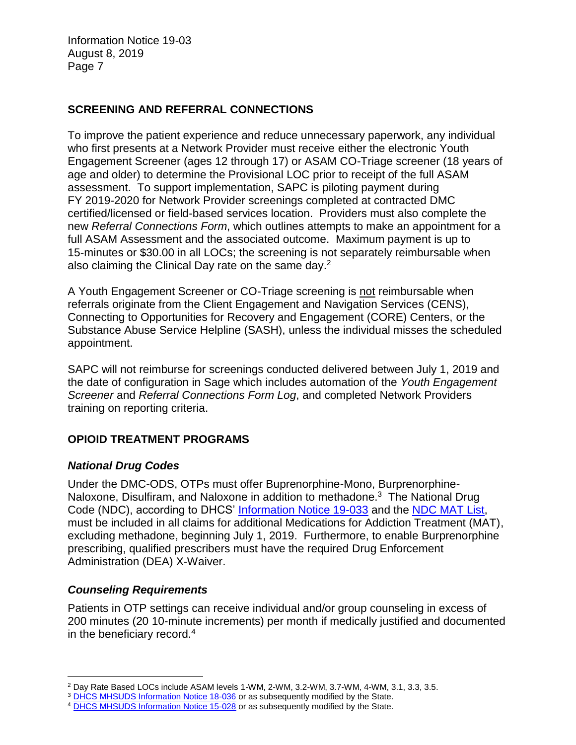## **SCREENING AND REFERRAL CONNECTIONS**

To improve the patient experience and reduce unnecessary paperwork, any individual who first presents at a Network Provider must receive either the electronic Youth Engagement Screener (ages 12 through 17) or ASAM CO-Triage screener (18 years of age and older) to determine the Provisional LOC prior to receipt of the full ASAM assessment. To support implementation, SAPC is piloting payment during FY 2019-2020 for Network Provider screenings completed at contracted DMC certified/licensed or field-based services location. Providers must also complete the new *Referral Connections Form*, which outlines attempts to make an appointment for a full ASAM Assessment and the associated outcome. Maximum payment is up to 15-minutes or \$30.00 in all LOCs; the screening is not separately reimbursable when also claiming the Clinical Day rate on the same day.<sup>2</sup>

A Youth Engagement Screener or CO-Triage screening is not reimbursable when referrals originate from the Client Engagement and Navigation Services (CENS), Connecting to Opportunities for Recovery and Engagement (CORE) Centers, or the Substance Abuse Service Helpline (SASH), unless the individual misses the scheduled appointment.

SAPC will not reimburse for screenings conducted delivered between July 1, 2019 and the date of configuration in Sage which includes automation of the *Youth Engagement Screener* and *Referral Connections Form Log*, and completed Network Providers training on reporting criteria.

## **OPIOID TREATMENT PROGRAMS**

### *National Drug Codes*

Under the DMC-ODS, OTPs must offer Buprenorphine-Mono, Burprenorphine-Naloxone, Disulfiram, and Naloxone in addition to methadone.<sup>3</sup> The National Drug Code (NDC), according to DHCS' [Information Notice 19-033](https://www.dhcs.ca.gov/formsandpubs/Documents/MHSUDS%20Information%20Notices/MHSUDS_Information_Notices_2019/MHSUDS-Information-Notice-19-033-NDC-MAT-FINAL.pdf) and the [NDC MAT List,](https://www.dhcs.ca.gov/formsandpubs/Documents/MHSUDS%20Information%20Notices/MHSUDS_Information_Notices_2019/MHSUDS-Information-Notice-19-033-Exhibit-A-NDC-List-for-DMC-ODS-MAT-Services.pdf) must be included in all claims for additional Medications for Addiction Treatment (MAT), excluding methadone, beginning July 1, 2019. Furthermore, to enable Burprenorphine prescribing, qualified prescribers must have the required Drug Enforcement Administration (DEA) X-Waiver.

### *Counseling Requirements*

Patients in OTP settings can receive individual and/or group counseling in excess of 200 minutes (20 10-minute increments) per month if medically justified and documented in the beneficiary record.<sup>4</sup>

<sup>2</sup> Day Rate Based LOCs include ASAM levels 1-WM, 2-WM, 3.2-WM, 3.7-WM, 4-WM, 3.1, 3.3, 3.5.

<sup>&</sup>lt;sup>3</sup> [DHCS MHSUDS Information Notice 18-036](https://www.dhcs.ca.gov/formsandpubs/Documents/MHSUDS%20Information%20Notices/MHSUDS_Information_Notices_2018/MHSUDS_Information_Notice_18_036_MAT_FY_1819.pdf) or as subsequently modified by the State.

<sup>&</sup>lt;sup>4</sup> [DHCS MHSUDS Information Notice 15-028](https://www.dhcs.ca.gov/formsandpubs/Documents/Info%20Notice%202015/MHSUDS_15_028_NTP.pdf) or as subsequently modified by the State.